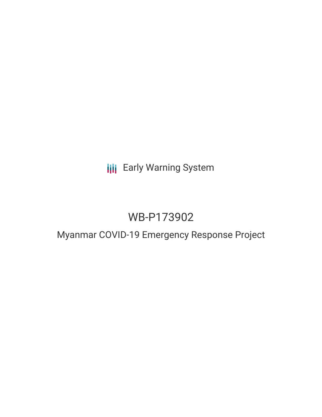# **III** Early Warning System

# WB-P173902

## Myanmar COVID-19 Emergency Response Project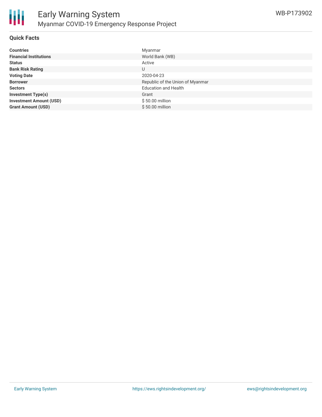

## **Quick Facts**

| <b>Countries</b>               | Myanmar                          |
|--------------------------------|----------------------------------|
| <b>Financial Institutions</b>  | World Bank (WB)                  |
| <b>Status</b>                  | Active                           |
| <b>Bank Risk Rating</b>        |                                  |
| <b>Voting Date</b>             | 2020-04-23                       |
| <b>Borrower</b>                | Republic of the Union of Myanmar |
| <b>Sectors</b>                 | <b>Education and Health</b>      |
| <b>Investment Type(s)</b>      | Grant                            |
| <b>Investment Amount (USD)</b> | $$50.00$ million                 |
| <b>Grant Amount (USD)</b>      | \$50.00 million                  |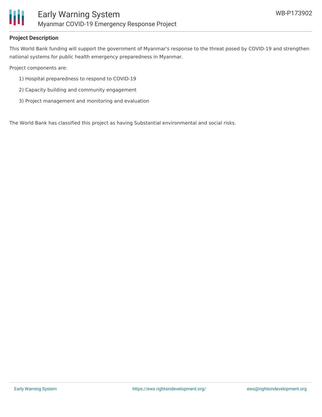

## **Project Description**

This World Bank funding will support the government of Myanmar's response to the threat posed by COVID-19 and strengthen national systems for public health emergency preparedness in Myanmar.

Project components are:

- 1) Hospital preparedness to respond to COVID-19
- 2) Capacity building and community engagement
- 3) Project management and monitoring and evaluation

The World Bank has classified this project as having Substantial environmental and social risks.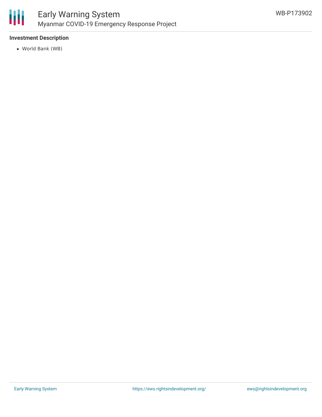

## **Investment Description**

World Bank (WB)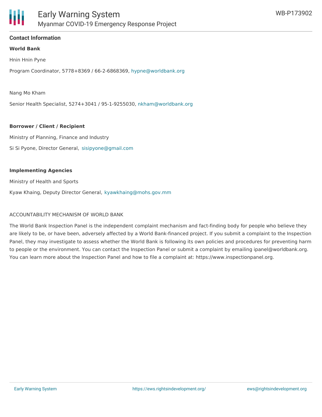

### **Contact Information**

#### **World Bank**

Hnin Hnin Pyne

Program Coordinator, 5778+8369 / 66-2-6868369, [hypne@worldbank.org](mailto:hypne@worldbank.org)

Nang Mo Kham

Senior Health Specialist, 5274+3041 / 95-1-9255030, [nkham@worldbank.org](mailto:nkham@worldbank.org)

#### **Borrower / Client / Recipient**

Ministry of Planning, Finance and Industry Si Si Pyone, Director General, [sisipyone@gmail.com](mailto:sisipyone@gmail.com)

#### **Implementing Agencies**

Ministry of Health and Sports

Kyaw Khaing, Deputy Director General, [kyawkhaing@mohs.gov.mm](mailto:kyawkhaing@mohs.gov.mm)

## ACCOUNTABILITY MECHANISM OF WORLD BANK

The World Bank Inspection Panel is the independent complaint mechanism and fact-finding body for people who believe they are likely to be, or have been, adversely affected by a World Bank-financed project. If you submit a complaint to the Inspection Panel, they may investigate to assess whether the World Bank is following its own policies and procedures for preventing harm to people or the environment. You can contact the Inspection Panel or submit a complaint by emailing ipanel@worldbank.org. You can learn more about the Inspection Panel and how to file a complaint at: https://www.inspectionpanel.org.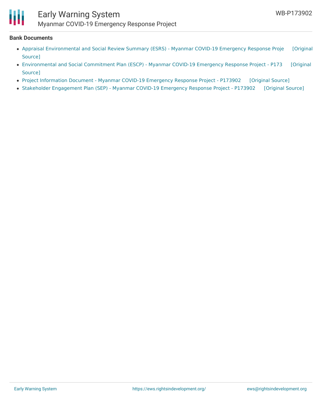

### **Bank Documents**

- Appraisal [Environmental](https://ewsdata.rightsindevelopment.org/files/documents/02/WB-P173902_Lgdqtgz.pdf) and Social Review Summary (ESRS) Myanmar COVID-19 Emergency Response Proje [Original Source]
- [Environmental](https://ewsdata.rightsindevelopment.org/files/documents/02/WB-P173902_YYVSDQ8.pdf) and Social Commitment Plan (ESCP) Myanmar COVID-19 Emergency Response Project P173 [Original Source]
- Project [Information](https://ewsdata.rightsindevelopment.org/files/documents/02/WB-P173902.pdf) Document Myanmar COVID-19 Emergency Response Project P173902 [\[Original](http://documents.worldbank.org/curated/en/178971586428026889/pdf/Project-Information-Document-Myanmar-COVID-19-Emergency-Response-Project-P173902.pdf) Source]
- Stakeholder [Engagement](https://ewsdata.rightsindevelopment.org/files/documents/02/WB-P173902_NCxbmfY.pdf) Plan (SEP) Myanmar COVID-19 Emergency Response Project P173902 [\[Original](http://documents.worldbank.org/curated/en/412241586965653264/pdf/Stakeholder-Engagement-Plan-SEP-Myanmar-COVID-19-Emergency-Response-Project-P173902.pdf) Source]